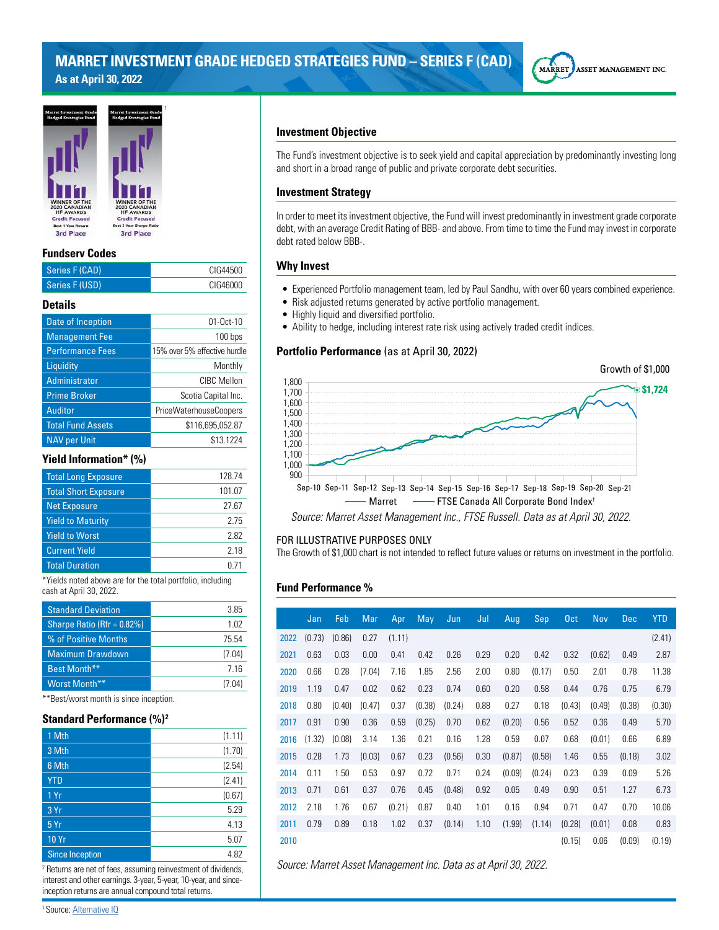# **MARRET INVESTMENT GRADE HEDGED STRATEGIES FUND – SERIES F (CAD) As at April 30, 2022**





#### **Fundserv Codes**

| Series F (CAD) | CIG44500 |
|----------------|----------|
| Series F (USD) | CIG46000 |
|                |          |

# **Details**

| $01 - Oct-10$                 |
|-------------------------------|
| 100 bps                       |
| 15% over 5% effective hurdle  |
| Monthly                       |
| CIBC Mellon                   |
| Scotia Capital Inc.           |
| <b>PriceWaterhouseCoopers</b> |
| \$116,695,052.87              |
| \$13.1224                     |
|                               |

# **Yield Information\* (%)**

| <b>Total Long Exposure</b>  | 128.74 |
|-----------------------------|--------|
| <b>Total Short Exposure</b> | 101.07 |
| <b>Net Exposure</b>         | 27.67  |
| <b>Yield to Maturity</b>    | 275    |
| <b>Yield to Worst</b>       | 2.82   |
| <b>Current Yield</b>        | 2 18   |
| <b>Total Duration</b>       |        |

\*Yields noted above are for the total portfolio, including cash at April 30, 2022.

| 3.85   |
|--------|
| 1.02   |
| 75.54  |
| (7.04) |
| 716    |
| (7.04) |
|        |

\*\*Best/worst month is since inception.

# **Standard Performance (%)<sup>2</sup>**

| 1 Mth                  | (1.11) |
|------------------------|--------|
| 3 Mth                  | (1.70) |
| 6 Mth                  | (2.54) |
| <b>YTD</b>             | (2.41) |
| 1Yr                    | (0.67) |
| 3 Yr                   | 5.29   |
| 5 Yr                   | 4.13   |
| <b>10 Yr</b>           | 5.07   |
| <b>Since Inception</b> | 4.82   |

2 Returns are net of fees, assuming reinvestment of dividends, interest and other earnings. 3-year, 5-year, 10-year, and sinceinception returns are annual compound total returns.

# **Investment Objective**

The Fund's investment objective is to seek yield and capital appreciation by predominantly investing long and short in a broad range of public and private corporate debt securities.

# **Investment Strategy**

In order to meet its investment objective, the Fund will invest predominantly in investment grade corporate debt, with an average Credit Rating of BBB- and above. From time to time the Fund may invest in corporate debt rated below BBB-.

### **Why Invest**

- Experienced Portfolio management team, led by Paul Sandhu, with over 60 years combined experience.
- Risk adjusted returns generated by active portfolio management.
- Highly liquid and diversified portfolio.
- Ability to hedge, including interest rate risk using actively traded credit indices.

# **Portfolio Performance** (as at April 30, 2022)



#### FOR ILLUSTRATIVE PURPOSES ONLY

The Growth of \$1,000 chart is not intended to reflect future values or returns on investment in the portfolio.

# **Fund Performance %**

|      | Jan    | Feb    | Mar    | Apr    | May    | Jun    | Jul  | Aug    | Sep    | 0 <sub>ct</sub> | Nov    | <b>Dec</b> | <b>YTD</b> |
|------|--------|--------|--------|--------|--------|--------|------|--------|--------|-----------------|--------|------------|------------|
| 2022 | (0.73) | (0.86) | 0.27   | (1.11) |        |        |      |        |        |                 |        |            | (2.41)     |
| 2021 | 0.63   | 0.03   | 0.00   | 0.41   | 0.42   | 0.26   | 0.29 | 0.20   | 0.42   | 0.32            | (0.62) | 0.49       | 2.87       |
| 2020 | 0.66   | 0.28   | (7.04) | 7.16   | 1.85   | 2.56   | 2.00 | 0.80   | (0.17) | 0.50            | 2.01   | 0.78       | 11.38      |
| 2019 | 1.19   | 0.47   | 0.02   | 0.62   | 0.23   | 0.74   | 0.60 | 0.20   | 0.58   | 0.44            | 0.76   | 0.75       | 6.79       |
| 2018 | 0.80   | (0.40) | (0.47) | 0.37   | (0.38) | (0.24) | 0.88 | 0.27   | 0.18   | (0.43)          | (0.49) | (0.38)     | (0.30)     |
| 2017 | 0.91   | 0.90   | 0.36   | 0.59   | (0.25) | 0.70   | 0.62 | (0.20) | 0.56   | 0.52            | 0.36   | 0.49       | 5.70       |
| 2016 | (1.32) | (0.08) | 3.14   | 1.36   | 0.21   | 0.16   | 1.28 | 0.59   | 0.07   | 0.68            | (0.01) | 0.66       | 6.89       |
| 2015 | 0.28   | 1.73   | (0.03) | 0.67   | 0.23   | (0.56) | 0.30 | (0.87) | (0.58) | 1.46            | 0.55   | (0.18)     | 3.02       |
| 2014 | 0.11   | 1.50   | 0.53   | 0.97   | 0.72   | 0.71   | 0.24 | (0.09) | (0.24) | 0.23            | 0.39   | 0.09       | 5.26       |
| 2013 | 0.71   | 0.61   | 0.37   | 0.76   | 0.45   | (0.48) | 0.92 | 0.05   | 0.49   | 0.90            | 0.51   | 1.27       | 6.73       |
| 2012 | 2.18   | 1.76   | 0.67   | (0.21) | 0.87   | 0.40   | 1.01 | 0.16   | 0.94   | 0.71            | 0.47   | 0.70       | 10.06      |
| 2011 | 0.79   | 0.89   | 0.18   | 1.02   | 0.37   | (0.14) | 1.10 | (1.99) | (1.14) | (0.28)          | (0.01) | 0.08       | 0.83       |
| 2010 |        |        |        |        |        |        |      |        |        | (0.15)          | 0.06   | (0.09)     | (0.19)     |

*Source: Marret Asset Management Inc. Data as at April 30, 2022.*